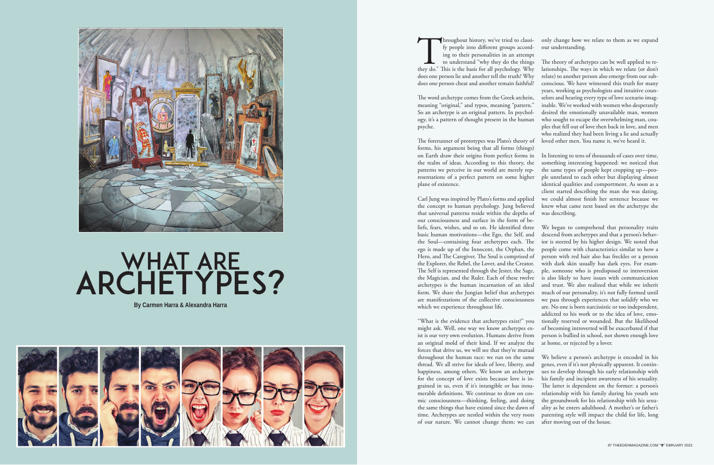



## WHAT ARE ARCHETYPES?

forms, his argument being that all forms (things) on Earth draw their origins from perfect forms in the realm of ideas. According to this theory, the patterns we perceive in our world are merely representations of a perfect pattern on some higher plane of existence.

Carl Jung was inspired by Plato's forms and applied the concept to human psychology. Jung believed that universal patterns reside within the depths of our consciousness and surface in the form of beliefs, fears, wishes, and so on. He identified three basic human motivations—the Ego, the Self, and the Soul—containing four archetypes each. The ego is made up of the Innocent, the Orphan, the Hero, and The Caregiver. The Soul is comprised of the Explorer, the Rebel, the Lover, and the Creator. The Self is represented through the Jester, the Sage, the Magician, and the Ruler. Each of these twelve archetypes is the human incarnation of an ideal form. We share the Jungian belief that archetypes are manifestations of the collective consciousness which we experience throughout life.

Throughout history, we've tried to classify people into different groups according to their personalities in an attempt to understand "why they do the things they do." This is the basis for all psychology. Why fy people into different groups according to their personalities in an attempt to understand "why they do the things does one person lie and another tell the truth? Why does one person cheat and another remain faithful? The word archetype comes from the Greek archein, meaning "original," and typos, meaning "pattern." So an archetype is an original pattern. In psychology, it's a pattern of thought present in the human psyche. The forerunner of prototypes was Plato's theory of only change how we relate to them as we expand our understanding. The theory of archetypes can be well applied to relationships. The ways in which we relate (or don't relate) to another person also emerge from our subconscious. We have witnessed this truth for many years, working as psychologists and intuitive counselors and hearing every type of love scenario imaginable. We've worked with women who desperately desired the emotionally unavailable man, women who sought to escape the overwhelming man, couples that fell out of love then back in love, and men who realized they had been living a lie and actually loved other men. You name it, we've heard it.

"What is the evidence that archetypes exist?" you might ask. Well, one way we know archetypes exist is our very own evolution. Humans derive from an original mold of their kind. If we analyze the forces that drive us, we will see that they're mutual throughout the human race: we run on the same thread. We all strive for ideals of love, liberty, and happiness, among others. We know an archetype for the concept of love exists because love is ingrained in us, even if it's intangible or has innumerable definitions. We continue to draw on cosmic consciousness—thinking, feeling, and doing the same things that have existed since the dawn of time. Archetypes are nestled within the very roots of our nature. We cannot change them; we can of becoming introverted will be exacerbated if that person is bullied in school, not shown enough love at home, or rejected by a lover. We believe a person's archetype is encoded in his genes, even if it's not physically apparent. It continues to develop through his early relationship with his family and incipient awareness of his sexuality. The latter is dependent on the former: a person's relationship with his family during his youth sets the groundwork for his relationship with his sexuality as he enters adulthood. A mother's or father's parenting style will impact the child for life, long after moving out of the house.

In listening to tens of thousands of cases over time, something interesting happened: we noticed that the same types of people kept cropping up—people unrelated to each other but displaying almost identical qualities and comportment. As soon as a client started describing the man she was dating, we could almost finish her sentence because we knew what came next based on the archetype she was describing.

We began to comprehend that personality traits descend from archetypes and that a person's behavior is steered by his higher design. We noted that people come with characteristics similar to how a person with red hair also has freckles or a person with dark skin usually has dark eyes. For example, someone who is predisposed to introversion is also likely to have issues with communication and trust. We also realized that while we inherit much of our personality, it's not fully formed until we pass through experiences that solidify who we are. No one is born narcissistic or too independent, addicted to his work or to the idea of love, emotionally reserved or wounded. But the likelihood

**By Carmen Harra & Alexandra Harra**